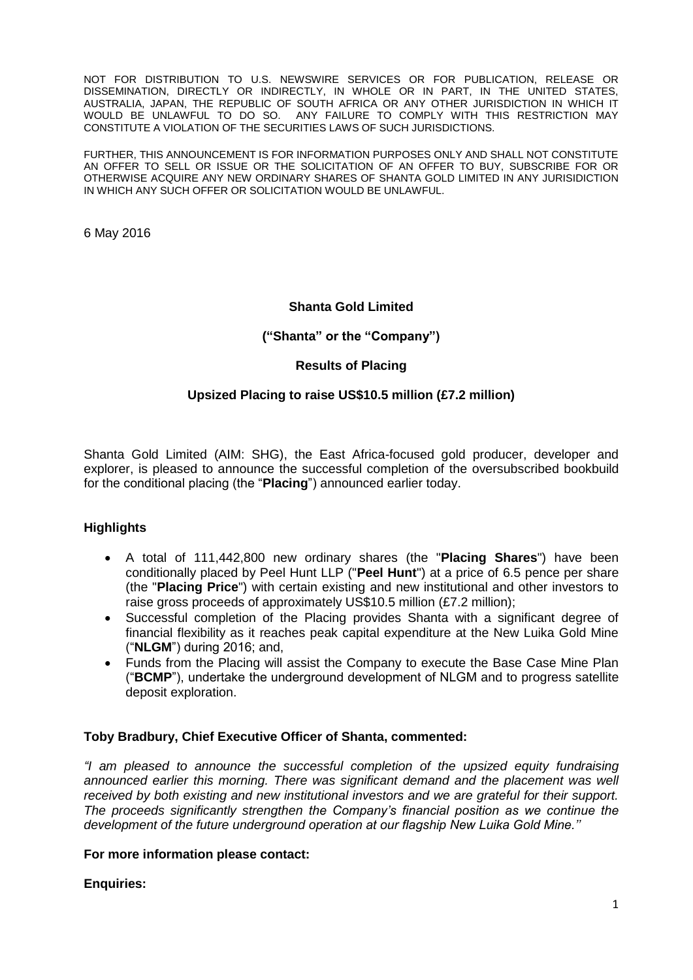NOT FOR DISTRIBUTION TO U.S. NEWSWIRE SERVICES OR FOR PUBLICATION, RELEASE OR DISSEMINATION, DIRECTLY OR INDIRECTLY, IN WHOLE OR IN PART, IN THE UNITED STATES, AUSTRALIA, JAPAN, THE REPUBLIC OF SOUTH AFRICA OR ANY OTHER JURISDICTION IN WHICH IT WOULD BE UNLAWFUL TO DO SO. ANY FAILURE TO COMPLY WITH THIS RESTRICTION MAY CONSTITUTE A VIOLATION OF THE SECURITIES LAWS OF SUCH JURISDICTIONS.

FURTHER, THIS ANNOUNCEMENT IS FOR INFORMATION PURPOSES ONLY AND SHALL NOT CONSTITUTE AN OFFER TO SELL OR ISSUE OR THE SOLICITATION OF AN OFFER TO BUY, SUBSCRIBE FOR OR OTHERWISE ACQUIRE ANY NEW ORDINARY SHARES OF SHANTA GOLD LIMITED IN ANY JURISIDICTION IN WHICH ANY SUCH OFFER OR SOLICITATION WOULD BE UNLAWFUL.

6 May 2016

## **Shanta Gold Limited**

## **("Shanta" or the "Company")**

## **Results of Placing**

# **Upsized Placing to raise US\$10.5 million (£7.2 million)**

Shanta Gold Limited (AIM: SHG), the East Africa-focused gold producer, developer and explorer, is pleased to announce the successful completion of the oversubscribed bookbuild for the conditional placing (the "**Placing**") announced earlier today.

# **Highlights**

- A total of 111,442,800 new ordinary shares (the "**Placing Shares**") have been conditionally placed by Peel Hunt LLP ("**Peel Hunt**") at a price of 6.5 pence per share (the "**Placing Price**") with certain existing and new institutional and other investors to raise gross proceeds of approximately US\$10.5 million (£7.2 million);
- Successful completion of the Placing provides Shanta with a significant degree of financial flexibility as it reaches peak capital expenditure at the New Luika Gold Mine ("**NLGM**") during 2016; and,
- Funds from the Placing will assist the Company to execute the Base Case Mine Plan ("**BCMP**"), undertake the underground development of NLGM and to progress satellite deposit exploration.

#### **Toby Bradbury, Chief Executive Officer of Shanta, commented:**

*"I am pleased to announce the successful completion of the upsized equity fundraising announced earlier this morning. There was significant demand and the placement was well received by both existing and new institutional investors and we are grateful for their support. The proceeds significantly strengthen the Company's financial position as we continue the development of the future underground operation at our flagship New Luika Gold Mine.''*

#### **For more information please contact:**

#### **Enquiries:**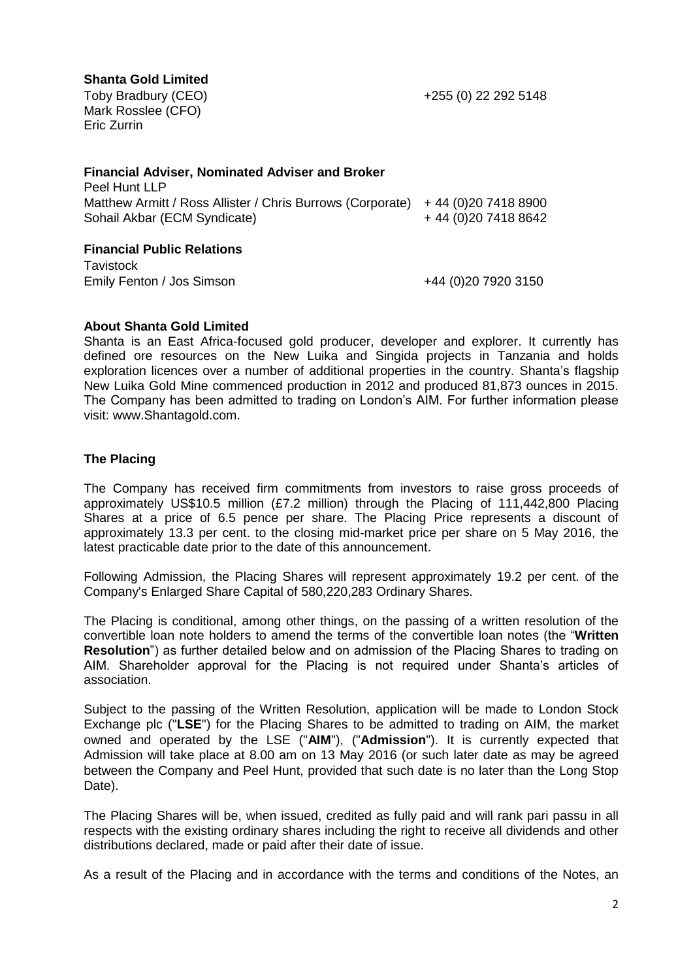# **Shanta Gold Limited**

Toby Bradbury (CEO) Mark Rosslee (CFO) Eric Zurrin

+255 (0) 22 292 5148

| <b>Financial Adviser, Nominated Adviser and Broker</b>     |                       |
|------------------------------------------------------------|-----------------------|
| Peel Hunt LLP                                              |                       |
| Matthew Armitt / Ross Allister / Chris Burrows (Corporate) | $+44(0)2074188900$    |
| Sohail Akbar (ECM Syndicate)                               | +44 (0) 20 7418 8642  |
| <b>Financial Public Relations</b>                          |                       |
| <b>Tavistock</b>                                           |                       |
| Emily Fenton / Jos Simson                                  | +44 (0) 20 79 20 3150 |

## **About Shanta Gold Limited**

Shanta is an East Africa-focused gold producer, developer and explorer. It currently has defined ore resources on the New Luika and Singida projects in Tanzania and holds exploration licences over a number of additional properties in the country. Shanta's flagship New Luika Gold Mine commenced production in 2012 and produced 81,873 ounces in 2015. The Company has been admitted to trading on London's AIM. For further information please visit: www.Shantagold.com.

# **The Placing**

The Company has received firm commitments from investors to raise gross proceeds of approximately US\$10.5 million (£7.2 million) through the Placing of 111,442,800 Placing Shares at a price of 6.5 pence per share. The Placing Price represents a discount of approximately 13.3 per cent. to the closing mid-market price per share on 5 May 2016, the latest practicable date prior to the date of this announcement.

Following Admission, the Placing Shares will represent approximately 19.2 per cent. of the Company's Enlarged Share Capital of 580,220,283 Ordinary Shares.

The Placing is conditional, among other things, on the passing of a written resolution of the convertible loan note holders to amend the terms of the convertible loan notes (the "**Written Resolution**") as further detailed below and on admission of the Placing Shares to trading on AIM. Shareholder approval for the Placing is not required under Shanta's articles of association.

Subject to the passing of the Written Resolution, application will be made to London Stock Exchange plc ("**LSE**") for the Placing Shares to be admitted to trading on AIM, the market owned and operated by the LSE ("**AIM**"), ("**Admission**"). It is currently expected that Admission will take place at 8.00 am on 13 May 2016 (or such later date as may be agreed between the Company and Peel Hunt, provided that such date is no later than the Long Stop Date).

The Placing Shares will be, when issued, credited as fully paid and will rank pari passu in all respects with the existing ordinary shares including the right to receive all dividends and other distributions declared, made or paid after their date of issue.

As a result of the Placing and in accordance with the terms and conditions of the Notes, an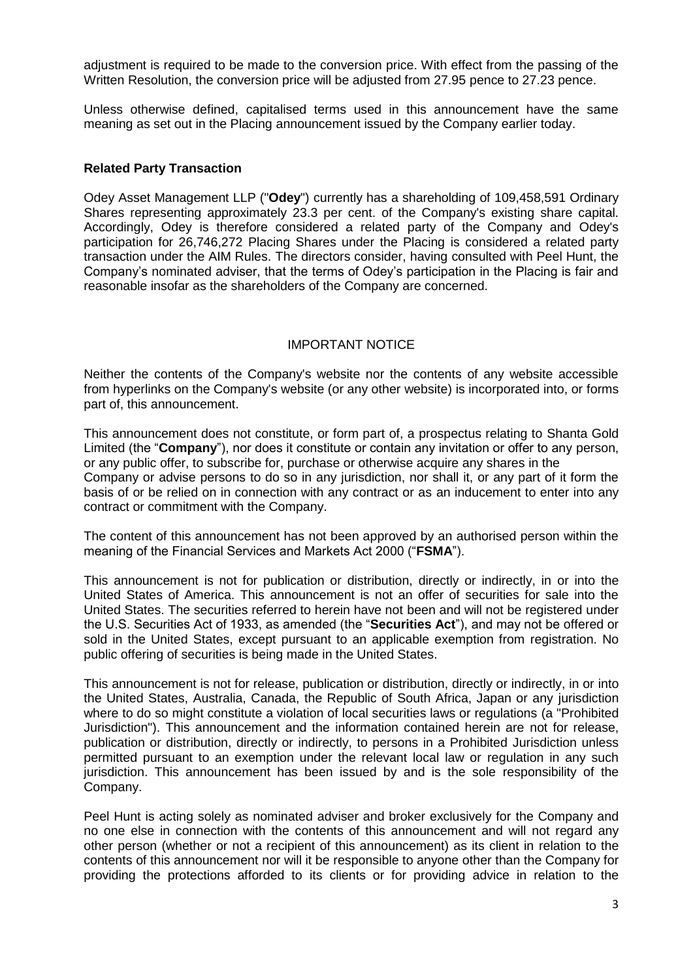adjustment is required to be made to the conversion price. With effect from the passing of the Written Resolution, the conversion price will be adjusted from 27.95 pence to 27.23 pence.

Unless otherwise defined, capitalised terms used in this announcement have the same meaning as set out in the Placing announcement issued by the Company earlier today.

### **Related Party Transaction**

Odey Asset Management LLP ("**Odey**") currently has a shareholding of 109,458,591 Ordinary Shares representing approximately 23.3 per cent. of the Company's existing share capital. Accordingly, Odey is therefore considered a related party of the Company and Odey's participation for 26,746,272 Placing Shares under the Placing is considered a related party transaction under the AIM Rules. The directors consider, having consulted with Peel Hunt, the Company's nominated adviser, that the terms of Odey's participation in the Placing is fair and reasonable insofar as the shareholders of the Company are concerned.

## IMPORTANT NOTICE

Neither the contents of the Company's website nor the contents of any website accessible from hyperlinks on the Company's website (or any other website) is incorporated into, or forms part of, this announcement.

This announcement does not constitute, or form part of, a prospectus relating to Shanta Gold Limited (the "**Company**"), nor does it constitute or contain any invitation or offer to any person, or any public offer, to subscribe for, purchase or otherwise acquire any shares in the Company or advise persons to do so in any jurisdiction, nor shall it, or any part of it form the basis of or be relied on in connection with any contract or as an inducement to enter into any contract or commitment with the Company.

The content of this announcement has not been approved by an authorised person within the meaning of the Financial Services and Markets Act 2000 ("**FSMA**").

This announcement is not for publication or distribution, directly or indirectly, in or into the United States of America. This announcement is not an offer of securities for sale into the United States. The securities referred to herein have not been and will not be registered under the U.S. Securities Act of 1933, as amended (the "**Securities Act**"), and may not be offered or sold in the United States, except pursuant to an applicable exemption from registration. No public offering of securities is being made in the United States.

This announcement is not for release, publication or distribution, directly or indirectly, in or into the United States, Australia, Canada, the Republic of South Africa, Japan or any jurisdiction where to do so might constitute a violation of local securities laws or regulations (a "Prohibited Jurisdiction"). This announcement and the information contained herein are not for release, publication or distribution, directly or indirectly, to persons in a Prohibited Jurisdiction unless permitted pursuant to an exemption under the relevant local law or regulation in any such jurisdiction. This announcement has been issued by and is the sole responsibility of the Company.

Peel Hunt is acting solely as nominated adviser and broker exclusively for the Company and no one else in connection with the contents of this announcement and will not regard any other person (whether or not a recipient of this announcement) as its client in relation to the contents of this announcement nor will it be responsible to anyone other than the Company for providing the protections afforded to its clients or for providing advice in relation to the